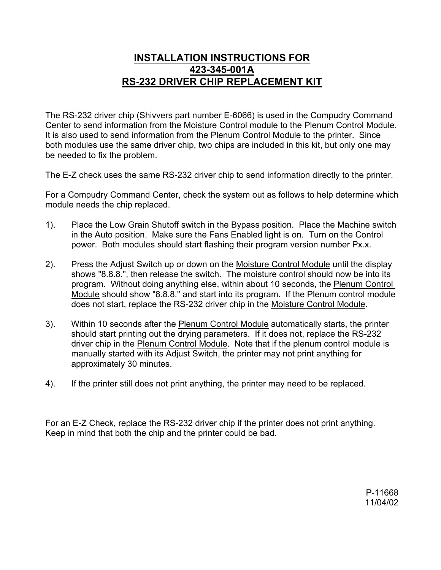## **INSTALLATION INSTRUCTIONS FOR 423-345-001A RS-232 DRIVER CHIP REPLACEMENT KIT**

The RS-232 driver chip (Shivvers part number E-6066) is used in the Compudry Command Center to send information from the Moisture Control module to the Plenum Control Module. It is also used to send information from the Plenum Control Module to the printer. Since both modules use the same driver chip, two chips are included in this kit, but only one may be needed to fix the problem.

The E-Z check uses the same RS-232 driver chip to send information directly to the printer.

For a Compudry Command Center, check the system out as follows to help determine which module needs the chip replaced.

- 1). Place the Low Grain Shutoff switch in the Bypass position. Place the Machine switch in the Auto position. Make sure the Fans Enabled light is on. Turn on the Control power. Both modules should start flashing their program version number Px.x.
- 2). Press the Adjust Switch up or down on the Moisture Control Module until the display shows "8.8.8.", then release the switch. The moisture control should now be into its program. Without doing anything else, within about 10 seconds, the Plenum Control Module should show "8.8.8." and start into its program. If the Plenum control module does not start, replace the RS-232 driver chip in the Moisture Control Module.
- 3). Within 10 seconds after the Plenum Control Module automatically starts, the printer should start printing out the drying parameters. If it does not, replace the RS-232 driver chip in the Plenum Control Module. Note that if the plenum control module is manually started with its Adjust Switch, the printer may not print anything for approximately 30 minutes.
- 4). If the printer still does not print anything, the printer may need to be replaced.

For an E-Z Check, replace the RS-232 driver chip if the printer does not print anything. Keep in mind that both the chip and the printer could be bad.

> P-11668 11/04/02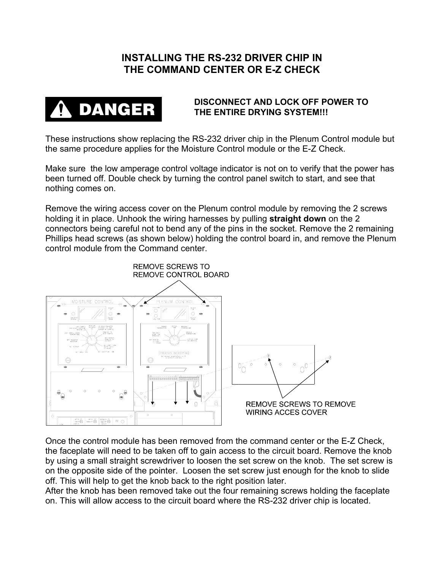## **INSTALLING THE RS-232 DRIVER CHIP IN THE COMMAND CENTER OR E-Z CHECK**



## **DISCONNECT AND LOCK OFF POWER TO THE ENTIRE DRYING SYSTEM!!!**

These instructions show replacing the RS-232 driver chip in the Plenum Control module but the same procedure applies for the Moisture Control module or the E-Z Check.

Make sure the low amperage control voltage indicator is not on to verify that the power has been turned off. Double check by turning the control panel switch to start, and see that nothing comes on.

Remove the wiring access cover on the Plenum control module by removing the 2 screws holding it in place. Unhook the wiring harnesses by pulling **straight down** on the 2 connectors being careful not to bend any of the pins in the socket. Remove the 2 remaining Phillips head screws (as shown below) holding the control board in, and remove the Plenum control module from the Command center.



Once the control module has been removed from the command center or the E-Z Check, the faceplate will need to be taken off to gain access to the circuit board. Remove the knob by using a small straight screwdriver to loosen the set screw on the knob. The set screw is on the opposite side of the pointer. Loosen the set screw just enough for the knob to slide off. This will help to get the knob back to the right position later.

After the knob has been removed take out the four remaining screws holding the faceplate on. This will allow access to the circuit board where the RS-232 driver chip is located.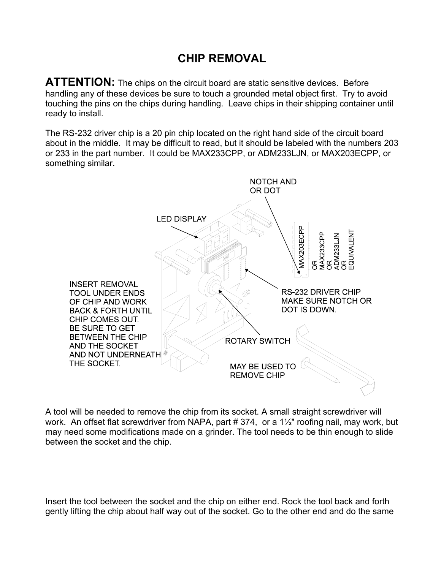## **CHIP REMOVAL**

**ATTENTION:** The chips on the circuit board are static sensitive devices. Before handling any of these devices be sure to touch a grounded metal object first. Try to avoid touching the pins on the chips during handling. Leave chips in their shipping container until ready to install.

The RS-232 driver chip is a 20 pin chip located on the right hand side of the circuit board about in the middle. It may be difficult to read, but it should be labeled with the numbers 203 or 233 in the part number. It could be MAX233CPP, or ADM233LJN, or MAX203ECPP, or something similar.



A tool will be needed to remove the chip from its socket. A small straight screwdriver will work. An offset flat screwdriver from NAPA, part # 374, or a 1½" roofing nail, may work, but may need some modifications made on a grinder. The tool needs to be thin enough to slide between the socket and the chip.

Insert the tool between the socket and the chip on either end. Rock the tool back and forth gently lifting the chip about half way out of the socket. Go to the other end and do the same